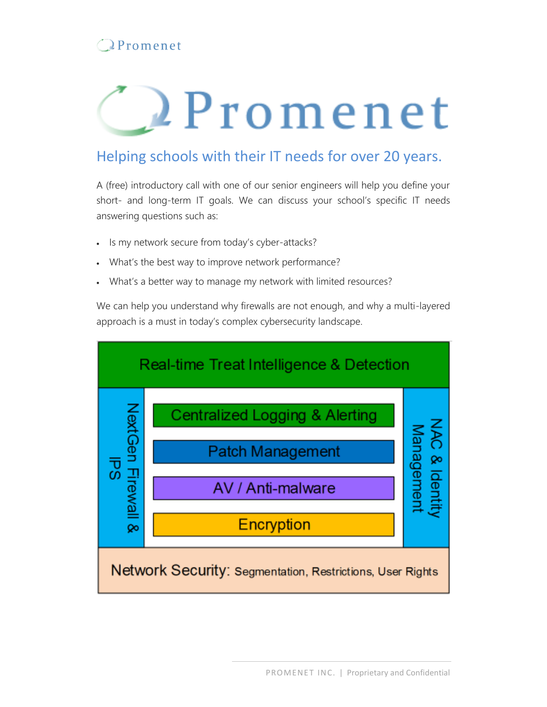## **Q**Promenet

# <u>Le Promenet</u>

### Helping schools with their IT needs for over 20 years.

A (free) introductory call with one of our senior engineers will help you define your short- and long-term IT goals. We can discuss your school's specific IT needs answering questions such as:

- Is my network secure from today's cyber-attacks?
- What's the best way to improve network performance?
- What's a better way to manage my network with limited resources?

We can help you understand why firewalls are not enough, and why a multi-layered approach is a must in today's complex cybersecurity landscape.